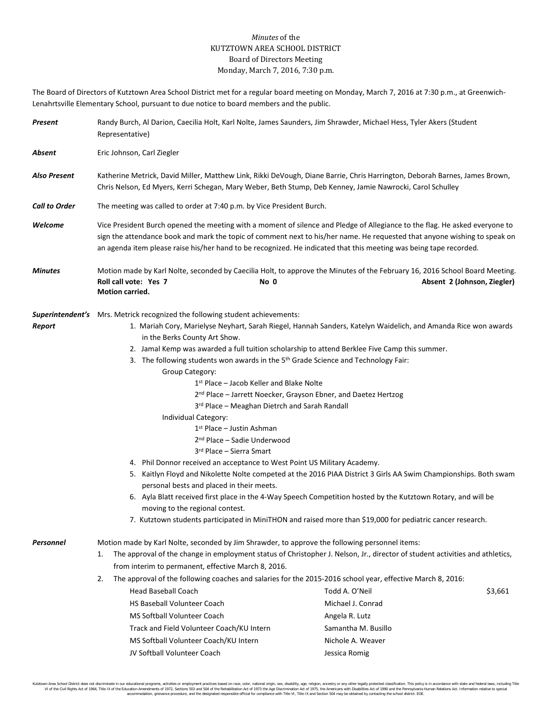## *Minutes* of the KUTZTOWN AREA SCHOOL DISTRICT Board of Directors Meeting Monday, March 7, 2016, 7:30 p.m.

The Board of Directors of Kutztown Area School District met for a regular board meeting on Monday, March 7, 2016 at 7:30 p.m., at Greenwich-Lenahrtsville Elementary School, pursuant to due notice to board members and the public.

| Present              | Randy Burch, Al Darion, Caecilia Holt, Karl Nolte, James Saunders, Jim Shrawder, Michael Hess, Tyler Akers (Student<br>Representative)                                                                                                                                                                                                                                                                                                                                                                                                                                                                                                                                                                                                                                                                                                                                                                                                                                                                                                                                                                                                                                                                                                                                          |                                                                                                                    |                             |  |
|----------------------|---------------------------------------------------------------------------------------------------------------------------------------------------------------------------------------------------------------------------------------------------------------------------------------------------------------------------------------------------------------------------------------------------------------------------------------------------------------------------------------------------------------------------------------------------------------------------------------------------------------------------------------------------------------------------------------------------------------------------------------------------------------------------------------------------------------------------------------------------------------------------------------------------------------------------------------------------------------------------------------------------------------------------------------------------------------------------------------------------------------------------------------------------------------------------------------------------------------------------------------------------------------------------------|--------------------------------------------------------------------------------------------------------------------|-----------------------------|--|
| Absent               | Eric Johnson, Carl Ziegler                                                                                                                                                                                                                                                                                                                                                                                                                                                                                                                                                                                                                                                                                                                                                                                                                                                                                                                                                                                                                                                                                                                                                                                                                                                      |                                                                                                                    |                             |  |
| <b>Also Present</b>  | Katherine Metrick, David Miller, Matthew Link, Rikki DeVough, Diane Barrie, Chris Harrington, Deborah Barnes, James Brown,<br>Chris Nelson, Ed Myers, Kerri Schegan, Mary Weber, Beth Stump, Deb Kenney, Jamie Nawrocki, Carol Schulley                                                                                                                                                                                                                                                                                                                                                                                                                                                                                                                                                                                                                                                                                                                                                                                                                                                                                                                                                                                                                                         |                                                                                                                    |                             |  |
| <b>Call to Order</b> | The meeting was called to order at 7:40 p.m. by Vice President Burch.                                                                                                                                                                                                                                                                                                                                                                                                                                                                                                                                                                                                                                                                                                                                                                                                                                                                                                                                                                                                                                                                                                                                                                                                           |                                                                                                                    |                             |  |
| Welcome              | Vice President Burch opened the meeting with a moment of silence and Pledge of Allegiance to the flag. He asked everyone to<br>sign the attendance book and mark the topic of comment next to his/her name. He requested that anyone wishing to speak on<br>an agenda item please raise his/her hand to be recognized. He indicated that this meeting was being tape recorded.                                                                                                                                                                                                                                                                                                                                                                                                                                                                                                                                                                                                                                                                                                                                                                                                                                                                                                  |                                                                                                                    |                             |  |
| Minutes              | Motion made by Karl Nolte, seconded by Caecilia Holt, to approve the Minutes of the February 16, 2016 School Board Meeting.<br>Roll call vote: Yes 7<br>Motion carried.                                                                                                                                                                                                                                                                                                                                                                                                                                                                                                                                                                                                                                                                                                                                                                                                                                                                                                                                                                                                                                                                                                         | No 0                                                                                                               | Absent 2 (Johnson, Ziegler) |  |
| Report               | Superintendent's Mrs. Metrick recognized the following student achievements:<br>1. Mariah Cory, Marielyse Neyhart, Sarah Riegel, Hannah Sanders, Katelyn Waidelich, and Amanda Rice won awards<br>in the Berks County Art Show.<br>2. Jamal Kemp was awarded a full tuition scholarship to attend Berklee Five Camp this summer.<br>3. The following students won awards in the 5 <sup>th</sup> Grade Science and Technology Fair:<br>Group Category:<br>$1st$ Place – Jacob Keller and Blake Nolte<br>2 <sup>nd</sup> Place - Jarrett Noecker, Grayson Ebner, and Daetez Hertzog<br>3rd Place - Meaghan Dietrch and Sarah Randall<br>Individual Category:<br>$1st$ Place – Justin Ashman<br>2 <sup>nd</sup> Place - Sadie Underwood<br>3rd Place - Sierra Smart<br>4. Phil Donnor received an acceptance to West Point US Military Academy.<br>5. Kaitlyn Floyd and Nikolette Nolte competed at the 2016 PIAA District 3 Girls AA Swim Championships. Both swam<br>personal bests and placed in their meets.<br>6. Ayla Blatt received first place in the 4-Way Speech Competition hosted by the Kutztown Rotary, and will be<br>moving to the regional contest.<br>7. Kutztown students participated in MiniTHON and raised more than \$19,000 for pediatric cancer research. |                                                                                                                    |                             |  |
| <b>Personnel</b>     | Motion made by Karl Nolte, seconded by Jim Shrawder, to approve the following personnel items:<br>The approval of the change in employment status of Christopher J. Nelson, Jr., director of student activities and athletics,<br>1.<br>from interim to permanent, effective March 8, 2016.<br>2.<br>The approval of the following coaches and salaries for the 2015-2016 school year, effective March 8, 2016:                                                                                                                                                                                                                                                                                                                                                                                                                                                                                                                                                                                                                                                                                                                                                                                                                                                                 |                                                                                                                    |                             |  |
|                      | <b>Head Baseball Coach</b><br><b>HS Baseball Volunteer Coach</b><br>MS Softball Volunteer Coach<br>Track and Field Volunteer Coach/KU Intern<br>MS Softball Volunteer Coach/KU Intern<br>JV Softball Volunteer Coach                                                                                                                                                                                                                                                                                                                                                                                                                                                                                                                                                                                                                                                                                                                                                                                                                                                                                                                                                                                                                                                            | Todd A. O'Neil<br>Michael J. Conrad<br>Angela R. Lutz<br>Samantha M. Busillo<br>Nichole A. Weaver<br>Jessica Romig | \$3,661                     |  |

Kutztown Area School District does not discriminate in our educational programs, activities or employment practices based on race, color, national origin, sex, disability, age, religion, ancestry or any other legally prot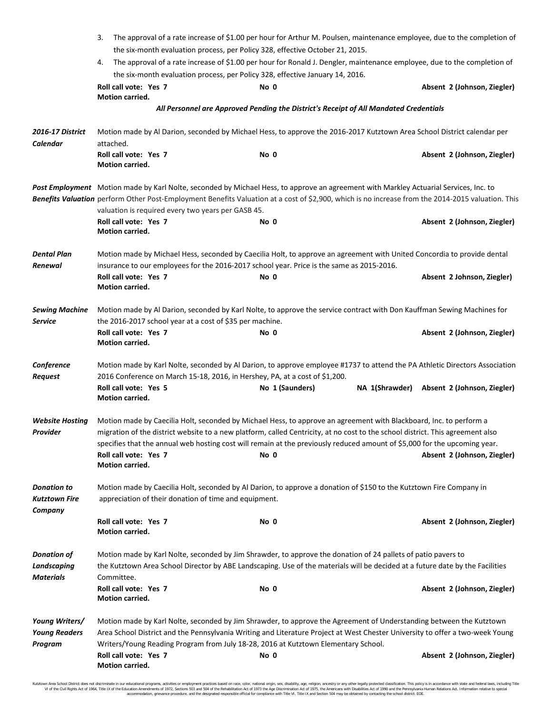|                                                       | The approval of a rate increase of \$1.00 per hour for Arthur M. Poulsen, maintenance employee, due to the completion of<br>3.                                                                                                                                                                                                             |                                                                                                                                       |                                            |  |  |
|-------------------------------------------------------|--------------------------------------------------------------------------------------------------------------------------------------------------------------------------------------------------------------------------------------------------------------------------------------------------------------------------------------------|---------------------------------------------------------------------------------------------------------------------------------------|--------------------------------------------|--|--|
|                                                       | the six-month evaluation process, per Policy 328, effective October 21, 2015.                                                                                                                                                                                                                                                              |                                                                                                                                       |                                            |  |  |
|                                                       | The approval of a rate increase of \$1.00 per hour for Ronald J. Dengler, maintenance employee, due to the completion of<br>4.                                                                                                                                                                                                             |                                                                                                                                       |                                            |  |  |
|                                                       | Roll call vote: Yes 7                                                                                                                                                                                                                                                                                                                      | the six-month evaluation process, per Policy 328, effective January 14, 2016.                                                         |                                            |  |  |
|                                                       | <b>Motion carried.</b>                                                                                                                                                                                                                                                                                                                     | No 0                                                                                                                                  | Absent 2 (Johnson, Ziegler)                |  |  |
|                                                       |                                                                                                                                                                                                                                                                                                                                            | All Personnel are Approved Pending the District's Receipt of All Mandated Credentials                                                 |                                            |  |  |
| <b>2016-17 District</b>                               | Motion made by Al Darion, seconded by Michael Hess, to approve the 2016-2017 Kutztown Area School District calendar per                                                                                                                                                                                                                    |                                                                                                                                       |                                            |  |  |
| <b>Calendar</b>                                       | attached.                                                                                                                                                                                                                                                                                                                                  |                                                                                                                                       |                                            |  |  |
|                                                       | Roll call vote: Yes 7<br>Motion carried.                                                                                                                                                                                                                                                                                                   | No 0                                                                                                                                  | Absent 2 (Johnson, Ziegler)                |  |  |
|                                                       |                                                                                                                                                                                                                                                                                                                                            | Post Employment Motion made by Karl Nolte, seconded by Michael Hess, to approve an agreement with Markley Actuarial Services, Inc. to |                                            |  |  |
|                                                       | Benefits Valuation perform Other Post-Employment Benefits Valuation at a cost of \$2,900, which is no increase from the 2014-2015 valuation. This<br>valuation is required every two years per GASB 45.                                                                                                                                    |                                                                                                                                       |                                            |  |  |
|                                                       | Roll call vote: Yes 7                                                                                                                                                                                                                                                                                                                      | No 0                                                                                                                                  | Absent 2 (Johnson, Ziegler)                |  |  |
|                                                       | Motion carried.                                                                                                                                                                                                                                                                                                                            |                                                                                                                                       |                                            |  |  |
| <b>Dental Plan</b>                                    | Motion made by Michael Hess, seconded by Caecilia Holt, to approve an agreement with United Concordia to provide dental<br>insurance to our employees for the 2016-2017 school year. Price is the same as 2015-2016.                                                                                                                       |                                                                                                                                       |                                            |  |  |
| Renewal                                               | Roll call vote: Yes 7                                                                                                                                                                                                                                                                                                                      | No 0                                                                                                                                  | Absent 2 Johnson, Ziegler)                 |  |  |
|                                                       | Motion carried.                                                                                                                                                                                                                                                                                                                            |                                                                                                                                       |                                            |  |  |
| <b>Sewing Machine</b>                                 | Motion made by Al Darion, seconded by Karl Nolte, to approve the service contract with Don Kauffman Sewing Machines for                                                                                                                                                                                                                    |                                                                                                                                       |                                            |  |  |
| <b>Service</b>                                        | the 2016-2017 school year at a cost of \$35 per machine.                                                                                                                                                                                                                                                                                   |                                                                                                                                       |                                            |  |  |
|                                                       | Roll call vote: Yes 7<br>Motion carried.                                                                                                                                                                                                                                                                                                   | No 0                                                                                                                                  | Absent 2 (Johnson, Ziegler)                |  |  |
| Conference<br><b>Request</b>                          | Motion made by Karl Nolte, seconded by Al Darion, to approve employee #1737 to attend the PA Athletic Directors Association<br>2016 Conference on March 15-18, 2016, in Hershey, PA, at a cost of \$1,200.                                                                                                                                 |                                                                                                                                       |                                            |  |  |
|                                                       | Roll call vote: Yes 5                                                                                                                                                                                                                                                                                                                      | No 1 (Saunders)                                                                                                                       | NA 1(Shrawder) Absent 2 (Johnson, Ziegler) |  |  |
|                                                       | Motion carried.                                                                                                                                                                                                                                                                                                                            |                                                                                                                                       |                                            |  |  |
| <b>Website Hosting</b>                                | Motion made by Caecilia Holt, seconded by Michael Hess, to approve an agreement with Blackboard, Inc. to perform a<br>migration of the district website to a new platform, called Centricity, at no cost to the school district. This agreement also                                                                                       |                                                                                                                                       |                                            |  |  |
| Provider                                              |                                                                                                                                                                                                                                                                                                                                            | specifies that the annual web hosting cost will remain at the previously reduced amount of \$5,000 for the upcoming year.             |                                            |  |  |
|                                                       | Roll call vote: Yes 7                                                                                                                                                                                                                                                                                                                      | No 0                                                                                                                                  | Absent 2 (Johnson, Ziegler)                |  |  |
|                                                       | Motion carried.                                                                                                                                                                                                                                                                                                                            |                                                                                                                                       |                                            |  |  |
| <b>Donation to</b><br><b>Kutztown Fire</b><br>Company | Motion made by Caecilia Holt, seconded by Al Darion, to approve a donation of \$150 to the Kutztown Fire Company in<br>appreciation of their donation of time and equipment.                                                                                                                                                               |                                                                                                                                       |                                            |  |  |
|                                                       | Roll call vote: Yes 7<br>Motion carried.                                                                                                                                                                                                                                                                                                   | No 0                                                                                                                                  | Absent 2 (Johnson, Ziegler)                |  |  |
| <b>Donation of</b><br>Landscaping                     | Motion made by Karl Nolte, seconded by Jim Shrawder, to approve the donation of 24 pallets of patio pavers to<br>the Kutztown Area School Director by ABE Landscaping. Use of the materials will be decided at a future date by the Facilities                                                                                             |                                                                                                                                       |                                            |  |  |
| <b>Materials</b>                                      | Committee.                                                                                                                                                                                                                                                                                                                                 |                                                                                                                                       |                                            |  |  |
|                                                       | Roll call vote: Yes 7<br>Motion carried.                                                                                                                                                                                                                                                                                                   | No 0                                                                                                                                  | Absent 2 (Johnson, Ziegler)                |  |  |
| Young Writers/<br><b>Young Readers</b>                | Motion made by Karl Nolte, seconded by Jim Shrawder, to approve the Agreement of Understanding between the Kutztown<br>Area School District and the Pennsylvania Writing and Literature Project at West Chester University to offer a two-week Young<br>Writers/Young Reading Program from July 18-28, 2016 at Kutztown Elementary School. |                                                                                                                                       |                                            |  |  |
| Program                                               | Roll call vote: Yes 7                                                                                                                                                                                                                                                                                                                      | No 0                                                                                                                                  | Absent 2 (Johnson, Ziegler)                |  |  |
|                                                       | Motion carried.                                                                                                                                                                                                                                                                                                                            |                                                                                                                                       |                                            |  |  |

Kutztown Area School District does not discriminate in our educational programs, activities or employment practices based on race, color, national origin, sex, disability, age, religion, ancestry or any other legally prot